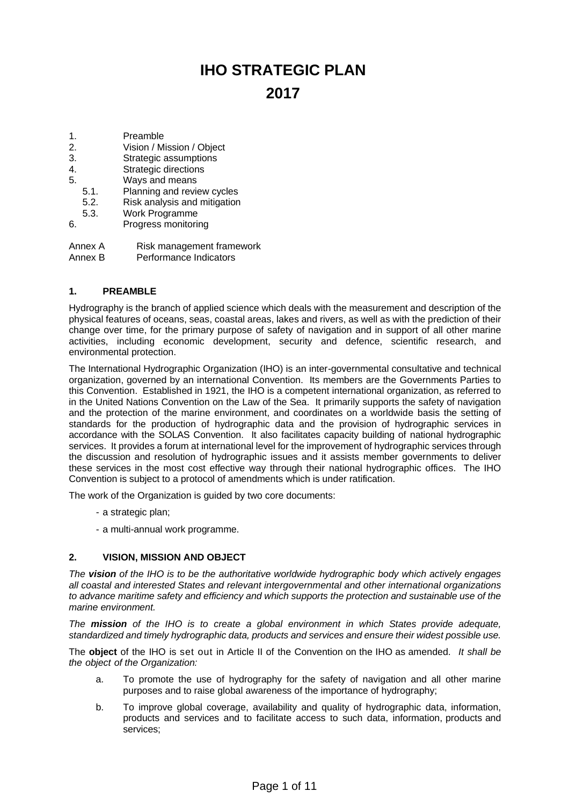# **IHO STRATEGIC PLAN 2017**

- 1. Preamble
- 2. Vision / Mission / Object
- 3. Strategic assumptions
- 4. Strategic directions
- 5. Ways and means
- 5.1. Planning and review cycles
- 5.2. Risk analysis and mitigation
- 5.3. Work Programme
- 6. Progress monitoring
- Annex A Risk management framework
- Annex B Performance Indicators

## **1. PREAMBLE**

Hydrography is the branch of applied science which deals with the measurement and description of the physical features of oceans, seas, coastal areas, lakes and rivers, as well as with the prediction of their change over time, for the primary purpose of safety of navigation and in support of all other marine activities, including economic development, security and defence, scientific research, and environmental protection.

The International Hydrographic Organization (IHO) is an inter-governmental consultative and technical organization, governed by an international Convention. Its members are the Governments Parties to this Convention. Established in 1921, the IHO is a competent international organization, as referred to in the United Nations Convention on the Law of the Sea. It primarily supports the safety of navigation and the protection of the marine environment, and coordinates on a worldwide basis the setting of standards for the production of hydrographic data and the provision of hydrographic services in accordance with the SOLAS Convention. It also facilitates capacity building of national hydrographic services. It provides a forum at international level for the improvement of hydrographic services through the discussion and resolution of hydrographic issues and it assists member governments to deliver these services in the most cost effective way through their national hydrographic offices. The IHO Convention is subject to a protocol of amendments which is under ratification.

The work of the Organization is guided by two core documents:

- a strategic plan;
- a multi-annual work programme.

## **2. VISION, MISSION AND OBJECT**

*The vision of the IHO is to be the authoritative worldwide hydrographic body which actively engages all coastal and interested States and relevant intergovernmental and other international organizations to advance maritime safety and efficiency and which supports the protection and sustainable use of the marine environment.* 

*The mission of the IHO is to create a global environment in which States provide adequate, standardized and timely hydrographic data, products and services and ensure their widest possible use.* 

The **object** of the IHO is set out in Article II of the Convention on the IHO as amended. *It shall be the object of the Organization:* 

- a. To promote the use of hydrography for the safety of navigation and all other marine purposes and to raise global awareness of the importance of hydrography;
- b. To improve global coverage, availability and quality of hydrographic data, information, products and services and to facilitate access to such data, information, products and services;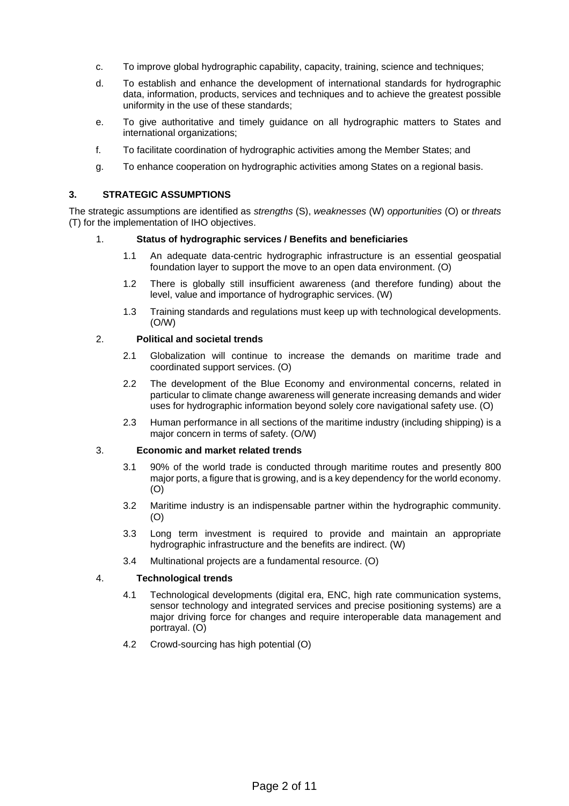- c. To improve global hydrographic capability, capacity, training, science and techniques;
- d. To establish and enhance the development of international standards for hydrographic data, information, products, services and techniques and to achieve the greatest possible uniformity in the use of these standards;
- e. To give authoritative and timely guidance on all hydrographic matters to States and international organizations;
- f. To facilitate coordination of hydrographic activities among the Member States; and
- g. To enhance cooperation on hydrographic activities among States on a regional basis.

## **3. STRATEGIC ASSUMPTIONS**

The strategic assumptions are identified as *strengths* (S), *weaknesses* (W) *opportunities* (O) or *threats* (T) for the implementation of IHO objectives.

#### 1. **Status of hydrographic services / Benefits and beneficiaries**

- 1.1 An adequate data-centric hydrographic infrastructure is an essential geospatial foundation layer to support the move to an open data environment. (O)
- 1.2 There is globally still insufficient awareness (and therefore funding) about the level, value and importance of hydrographic services. (W)
- 1.3 Training standards and regulations must keep up with technological developments. (O/W)

## 2. **Political and societal trends**

- 2.1 Globalization will continue to increase the demands on maritime trade and coordinated support services. (O)
- 2.2 The development of the Blue Economy and environmental concerns, related in particular to climate change awareness will generate increasing demands and wider uses for hydrographic information beyond solely core navigational safety use. (O)
- 2.3 Human performance in all sections of the maritime industry (including shipping) is a major concern in terms of safety. (O/W)

#### 3. **Economic and market related trends**

- 3.1 90% of the world trade is conducted through maritime routes and presently 800 major ports, a figure that is growing, and is a key dependency for the world economy. (O)
- 3.2 Maritime industry is an indispensable partner within the hydrographic community. (O)
- 3.3 Long term investment is required to provide and maintain an appropriate hydrographic infrastructure and the benefits are indirect. (W)
- 3.4 Multinational projects are a fundamental resource. (O)

## 4. **Technological trends**

- 4.1 Technological developments (digital era, ENC, high rate communication systems, sensor technology and integrated services and precise positioning systems) are a major driving force for changes and require interoperable data management and portrayal. (O)
- 4.2 Crowd-sourcing has high potential (O)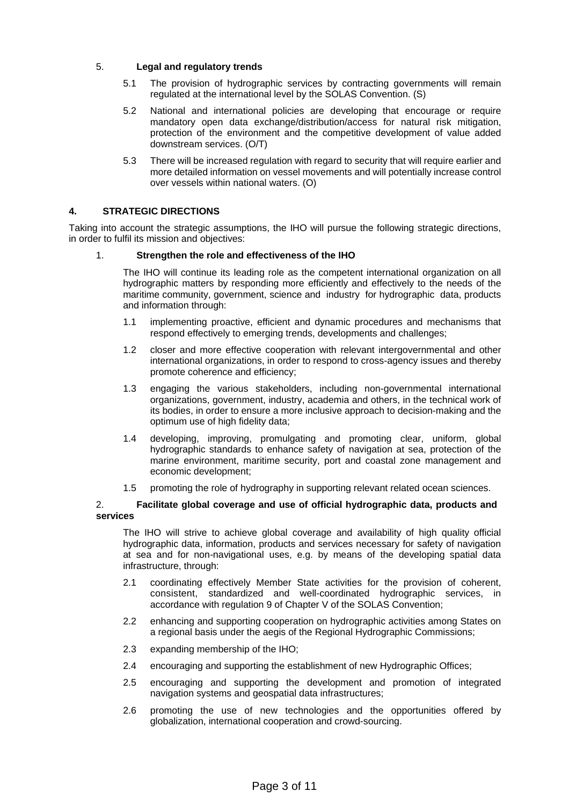## 5. **Legal and regulatory trends**

- 5.1 The provision of hydrographic services by contracting governments will remain regulated at the international level by the SOLAS Convention. (S)
- 5.2 National and international policies are developing that encourage or require mandatory open data exchange/distribution/access for natural risk mitigation, protection of the environment and the competitive development of value added downstream services. (O/T)
- 5.3 There will be increased regulation with regard to security that will require earlier and more detailed information on vessel movements and will potentially increase control over vessels within national waters. (O)

## **4. STRATEGIC DIRECTIONS**

Taking into account the strategic assumptions, the IHO will pursue the following strategic directions, in order to fulfil its mission and objectives:

#### 1. **Strengthen the role and effectiveness of the IHO**

The IHO will continue its leading role as the competent international organization on all hydrographic matters by responding more efficiently and effectively to the needs of the maritime community, government, science and industry for hydrographic data, products and information through:

- 1.1 implementing proactive, efficient and dynamic procedures and mechanisms that respond effectively to emerging trends, developments and challenges;
- 1.2 closer and more effective cooperation with relevant intergovernmental and other international organizations, in order to respond to cross-agency issues and thereby promote coherence and efficiency;
- 1.3 engaging the various stakeholders, including non-governmental international organizations, government, industry, academia and others, in the technical work of its bodies, in order to ensure a more inclusive approach to decision-making and the optimum use of high fidelity data;
- 1.4 developing, improving, promulgating and promoting clear, uniform, global hydrographic standards to enhance safety of navigation at sea, protection of the marine environment, maritime security, port and coastal zone management and economic development;
- 1.5 promoting the role of hydrography in supporting relevant related ocean sciences.

#### 2. **Facilitate global coverage and use of official hydrographic data, products and services**

The IHO will strive to achieve global coverage and availability of high quality official hydrographic data, information, products and services necessary for safety of navigation at sea and for non-navigational uses, e.g. by means of the developing spatial data infrastructure, through:

- 2.1 coordinating effectively Member State activities for the provision of coherent, consistent, standardized and well-coordinated hydrographic services, in accordance with regulation 9 of Chapter V of the SOLAS Convention;
- 2.2 enhancing and supporting cooperation on hydrographic activities among States on a regional basis under the aegis of the Regional Hydrographic Commissions;
- 2.3 expanding membership of the IHO;
- 2.4 encouraging and supporting the establishment of new Hydrographic Offices;
- 2.5 encouraging and supporting the development and promotion of integrated navigation systems and geospatial data infrastructures;
- 2.6 promoting the use of new technologies and the opportunities offered by globalization, international cooperation and crowd-sourcing.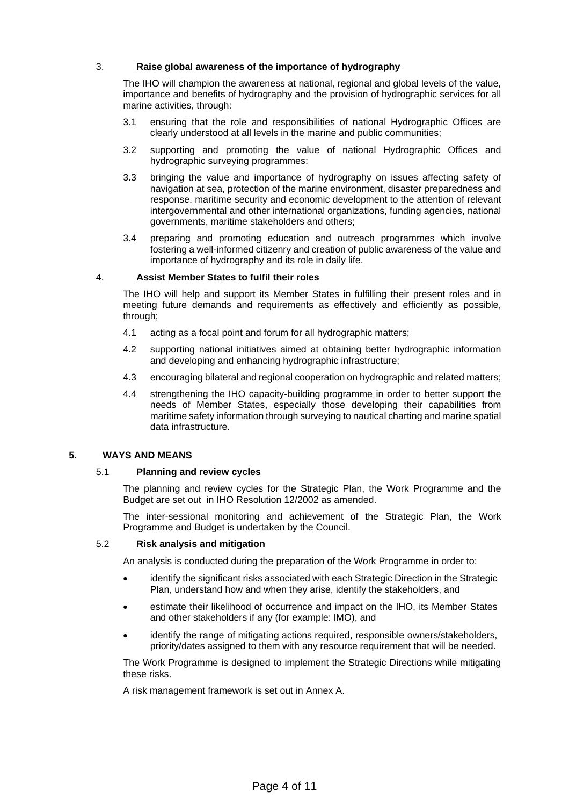## 3. **Raise global awareness of the importance of hydrography**

The IHO will champion the awareness at national, regional and global levels of the value, importance and benefits of hydrography and the provision of hydrographic services for all marine activities, through:

- 3.1 ensuring that the role and responsibilities of national Hydrographic Offices are clearly understood at all levels in the marine and public communities;
- 3.2 supporting and promoting the value of national Hydrographic Offices and hydrographic surveying programmes;
- 3.3 bringing the value and importance of hydrography on issues affecting safety of navigation at sea, protection of the marine environment, disaster preparedness and response, maritime security and economic development to the attention of relevant intergovernmental and other international organizations, funding agencies, national governments, maritime stakeholders and others;
- 3.4 preparing and promoting education and outreach programmes which involve fostering a well-informed citizenry and creation of public awareness of the value and importance of hydrography and its role in daily life.

## 4. **Assist Member States to fulfil their roles**

The IHO will help and support its Member States in fulfilling their present roles and in meeting future demands and requirements as effectively and efficiently as possible, through;

- 4.1 acting as a focal point and forum for all hydrographic matters;
- 4.2 supporting national initiatives aimed at obtaining better hydrographic information and developing and enhancing hydrographic infrastructure;
- 4.3 encouraging bilateral and regional cooperation on hydrographic and related matters;
- 4.4 strengthening the IHO capacity-building programme in order to better support the needs of Member States, especially those developing their capabilities from maritime safety information through surveying to nautical charting and marine spatial data infrastructure.

#### **5. WAYS AND MEANS**

#### 5.1 **Planning and review cycles**

The planning and review cycles for the Strategic Plan, the Work Programme and the Budget are set out in IHO Resolution 12/2002 as amended.

The inter-sessional monitoring and achievement of the Strategic Plan, the Work Programme and Budget is undertaken by the Council.

#### 5.2 **Risk analysis and mitigation**

An analysis is conducted during the preparation of the Work Programme in order to:

- identify the significant risks associated with each Strategic Direction in the Strategic Plan, understand how and when they arise, identify the stakeholders, and
- estimate their likelihood of occurrence and impact on the IHO, its Member States and other stakeholders if any (for example: IMO), and
- identify the range of mitigating actions required, responsible owners/stakeholders, priority/dates assigned to them with any resource requirement that will be needed.

The Work Programme is designed to implement the Strategic Directions while mitigating these risks.

A risk management framework is set out in Annex A.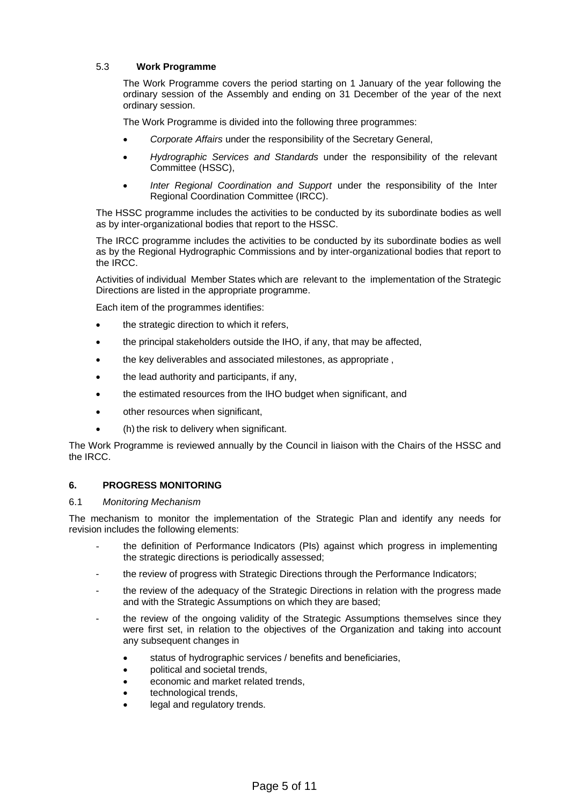# 5.3 **Work Programme**

The Work Programme covers the period starting on 1 January of the year following the ordinary session of the Assembly and ending on 31 December of the year of the next ordinary session.

The Work Programme is divided into the following three programmes:

- *Corporate Affairs* under the responsibility of the Secretary General,
- *Hydrographic Services and Standards* under the responsibility of the relevant Committee (HSSC),
- *Inter Regional Coordination and Support* under the responsibility of the Inter Regional Coordination Committee (IRCC).

The HSSC programme includes the activities to be conducted by its subordinate bodies as well as by inter-organizational bodies that report to the HSSC.

The IRCC programme includes the activities to be conducted by its subordinate bodies as well as by the Regional Hydrographic Commissions and by inter-organizational bodies that report to the IRCC.

Activities of individual Member States which are relevant to the implementation of the Strategic Directions are listed in the appropriate programme.

Each item of the programmes identifies:

- the strategic direction to which it refers,
- the principal stakeholders outside the IHO, if any, that may be affected,
- the key deliverables and associated milestones, as appropriate ,
- the lead authority and participants, if any,
- the estimated resources from the IHO budget when significant, and
- other resources when significant,
- (h) the risk to delivery when significant.

The Work Programme is reviewed annually by the Council in liaison with the Chairs of the HSSC and the IRCC.

## **6. PROGRESS MONITORING**

#### 6.1 *Monitoring Mechanism*

The mechanism to monitor the implementation of the Strategic Plan and identify any needs for revision includes the following elements:

- the definition of Performance Indicators (PIs) against which progress in implementing the strategic directions is periodically assessed;
- the review of progress with Strategic Directions through the Performance Indicators;
- the review of the adequacy of the Strategic Directions in relation with the progress made and with the Strategic Assumptions on which they are based;
- the review of the ongoing validity of the Strategic Assumptions themselves since they were first set, in relation to the objectives of the Organization and taking into account any subsequent changes in
	- status of hydrographic services / benefits and beneficiaries,
	- political and societal trends,
	- economic and market related trends,
	- technological trends,
	- legal and regulatory trends.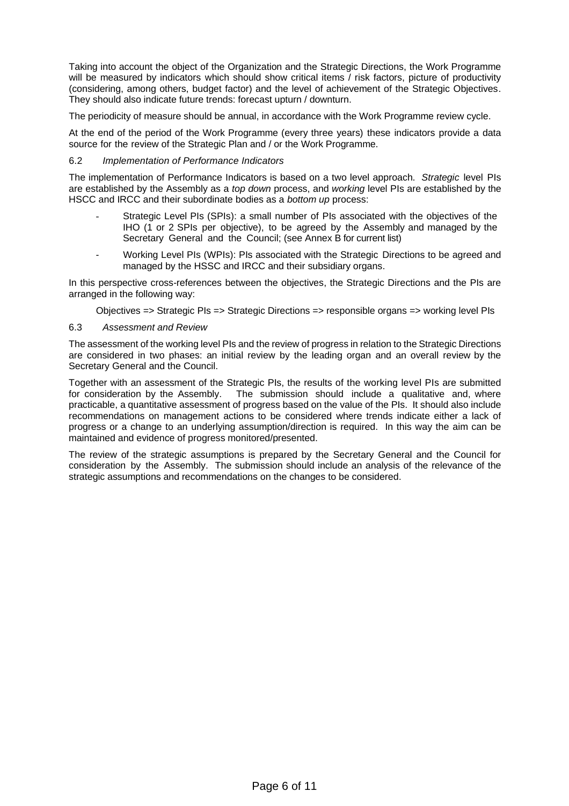Taking into account the object of the Organization and the Strategic Directions, the Work Programme will be measured by indicators which should show critical items / risk factors, picture of productivity (considering, among others, budget factor) and the level of achievement of the Strategic Objectives. They should also indicate future trends: forecast upturn / downturn.

The periodicity of measure should be annual, in accordance with the Work Programme review cycle.

At the end of the period of the Work Programme (every three years) these indicators provide a data source for the review of the Strategic Plan and / or the Work Programme.

## 6.2 *Implementation of Performance Indicators*

The implementation of Performance Indicators is based on a two level approach. *Strategic* level PIs are established by the Assembly as a *top down* process, and *working* level PIs are established by the HSCC and IRCC and their subordinate bodies as a *bottom up* process:

- Strategic Level PIs (SPIs): a small number of PIs associated with the objectives of the IHO (1 or 2 SPIs per objective), to be agreed by the Assembly and managed by the Secretary General and the Council; (see Annex B for current list)
- Working Level PIs (WPIs): PIs associated with the Strategic Directions to be agreed and managed by the HSSC and IRCC and their subsidiary organs.

In this perspective cross-references between the objectives, the Strategic Directions and the PIs are arranged in the following way:

Objectives => Strategic PIs => Strategic Directions => responsible organs => working level PIs

## 6.3 *Assessment and Review*

The assessment of the working level PIs and the review of progress in relation to the Strategic Directions are considered in two phases: an initial review by the leading organ and an overall review by the Secretary General and the Council.

Together with an assessment of the Strategic PIs, the results of the working level PIs are submitted for consideration by the Assembly. The submission should include a qualitative and, where practicable, a quantitative assessment of progress based on the value of the PIs. It should also include recommendations on management actions to be considered where trends indicate either a lack of progress or a change to an underlying assumption/direction is required. In this way the aim can be maintained and evidence of progress monitored/presented.

The review of the strategic assumptions is prepared by the Secretary General and the Council for consideration by the Assembly. The submission should include an analysis of the relevance of the strategic assumptions and recommendations on the changes to be considered.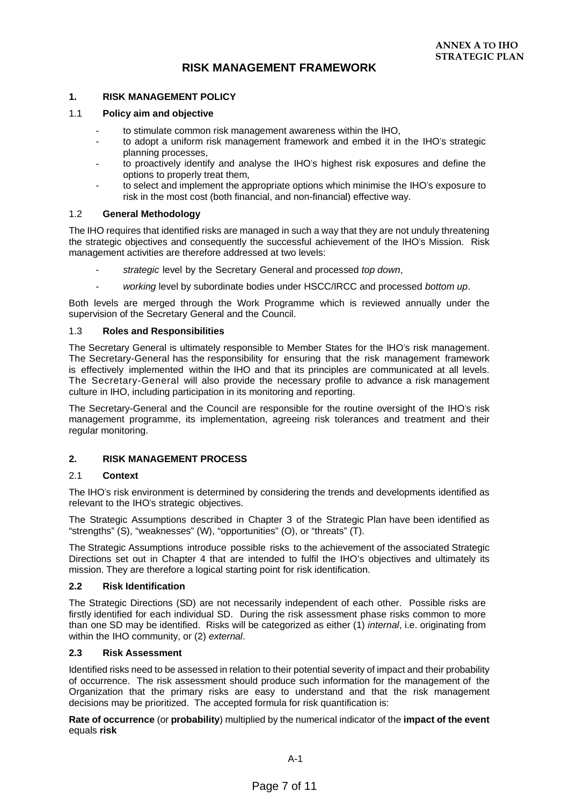# **RISK MANAGEMENT FRAMEWORK**

## **1. RISK MANAGEMENT POLICY**

#### 1.1 **Policy aim and objective**

- to stimulate common risk management awareness within the IHO,
- to adopt a uniform risk management framework and embed it in the IHO's strategic planning processes,
- to proactively identify and analyse the IHO's highest risk exposures and define the options to properly treat them,
- to select and implement the appropriate options which minimise the IHO's exposure to risk in the most cost (both financial, and non-financial) effective way.

## 1.2 **General Methodology**

The IHO requires that identified risks are managed in such a way that they are not unduly threatening the strategic objectives and consequently the successful achievement of the IHO's Mission. Risk management activities are therefore addressed at two levels:

- *strategic* level by the Secretary General and processed *top down*,
- *working* level by subordinate bodies under HSCC/IRCC and processed *bottom up*.

Both levels are merged through the Work Programme which is reviewed annually under the supervision of the Secretary General and the Council.

## 1.3 **Roles and Responsibilities**

The Secretary General is ultimately responsible to Member States for the IHO's risk management. The Secretary-General has the responsibility for ensuring that the risk management framework is effectively implemented within the IHO and that its principles are communicated at all levels. The Secretary-General will also provide the necessary profile to advance a risk management culture in IHO, including participation in its monitoring and reporting.

The Secretary-General and the Council are responsible for the routine oversight of the IHO's risk management programme, its implementation, agreeing risk tolerances and treatment and their regular monitoring.

## **2. RISK MANAGEMENT PROCESS**

#### 2.1 **Context**

The IHO's risk environment is determined by considering the trends and developments identified as relevant to the IHO's strategic objectives.

The Strategic Assumptions described in Chapter 3 of the Strategic Plan have been identified as "strengths" (S), "weaknesses" (W), "opportunities" (O), or "threats" (T).

The Strategic Assumptions introduce possible risks to the achievement of the associated Strategic Directions set out in Chapter 4 that are intended to fulfil the IHO's objectives and ultimately its mission. They are therefore a logical starting point for risk identification.

#### **2.2 Risk Identification**

The Strategic Directions (SD) are not necessarily independent of each other. Possible risks are firstly identified for each individual SD. During the risk assessment phase risks common to more than one SD may be identified. Risks will be categorized as either (1) *internal*, i.e. originating from within the IHO community, or (2) *external*.

#### **2.3 Risk Assessment**

Identified risks need to be assessed in relation to their potential severity of impact and their probability of occurrence. The risk assessment should produce such information for the management of the Organization that the primary risks are easy to understand and that the risk management decisions may be prioritized. The accepted formula for risk quantification is:

**Rate of occurrence** (or **probability**) multiplied by the numerical indicator of the **impact of the event** equals **risk**

A-1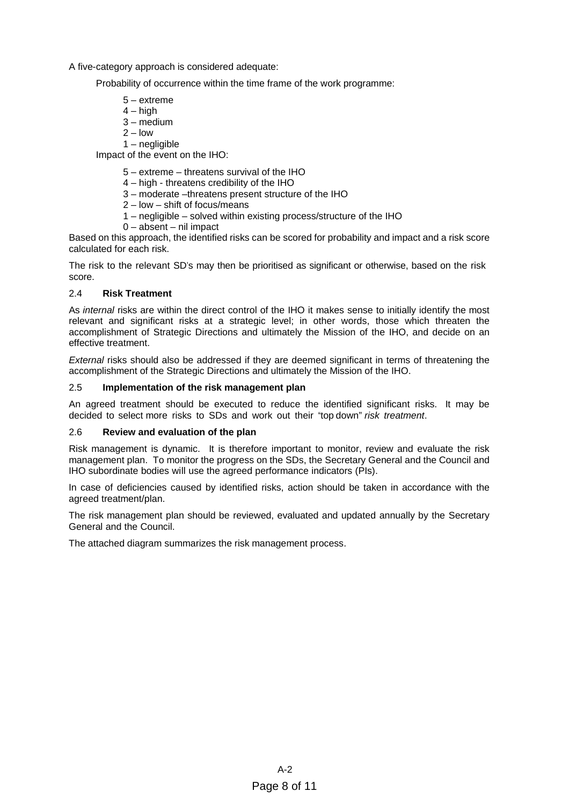A five-category approach is considered adequate:

Probability of occurrence within the time frame of the work programme:

- 5 extreme
- $4 h$ igh
- $3 -$  medium
- $2 \text{low}$
- 1 negligible

Impact of the event on the IHO:

- 5 extreme threatens survival of the IHO
- 4 high threatens credibility of the IHO
- 3 moderate –threatens present structure of the IHO
- 2 low shift of focus/means
- 1 negligible solved within existing process/structure of the IHO
- 0 absent nil impact

Based on this approach, the identified risks can be scored for probability and impact and a risk score calculated for each risk.

The risk to the relevant SD's may then be prioritised as significant or otherwise, based on the risk score.

## 2.4 **Risk Treatment**

As *internal* risks are within the direct control of the IHO it makes sense to initially identify the most relevant and significant risks at a strategic level; in other words, those which threaten the accomplishment of Strategic Directions and ultimately the Mission of the IHO, and decide on an effective treatment.

*External* risks should also be addressed if they are deemed significant in terms of threatening the accomplishment of the Strategic Directions and ultimately the Mission of the IHO.

# 2.5 **Implementation of the risk management plan**

An agreed treatment should be executed to reduce the identified significant risks. It may be decided to select more risks to SDs and work out their "top down" *risk treatment*.

#### 2.6 **Review and evaluation of the plan**

Risk management is dynamic. It is therefore important to monitor, review and evaluate the risk management plan. To monitor the progress on the SDs, the Secretary General and the Council and IHO subordinate bodies will use the agreed performance indicators (PIs).

In case of deficiencies caused by identified risks, action should be taken in accordance with the agreed treatment/plan.

The risk management plan should be reviewed, evaluated and updated annually by the Secretary General and the Council.

The attached diagram summarizes the risk management process.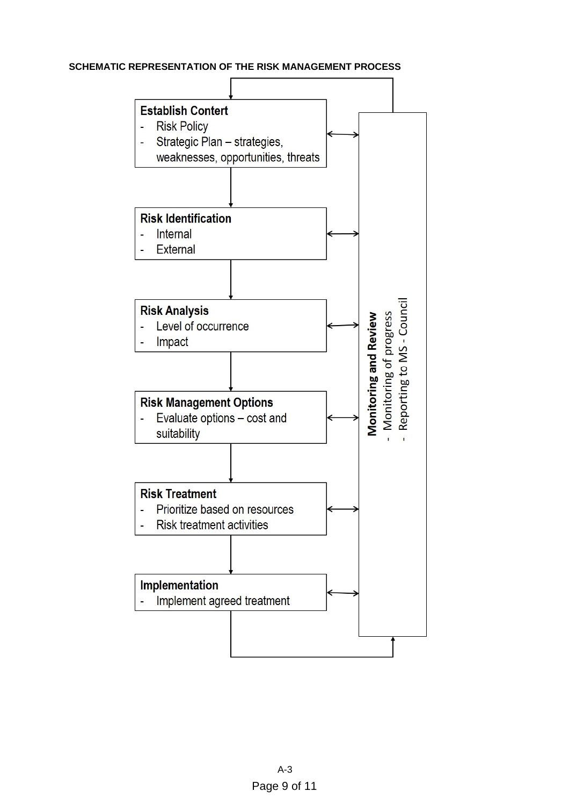# **SCHEMATIC REPRESENTATION OF THE RISK MANAGEMENT PROCESS**

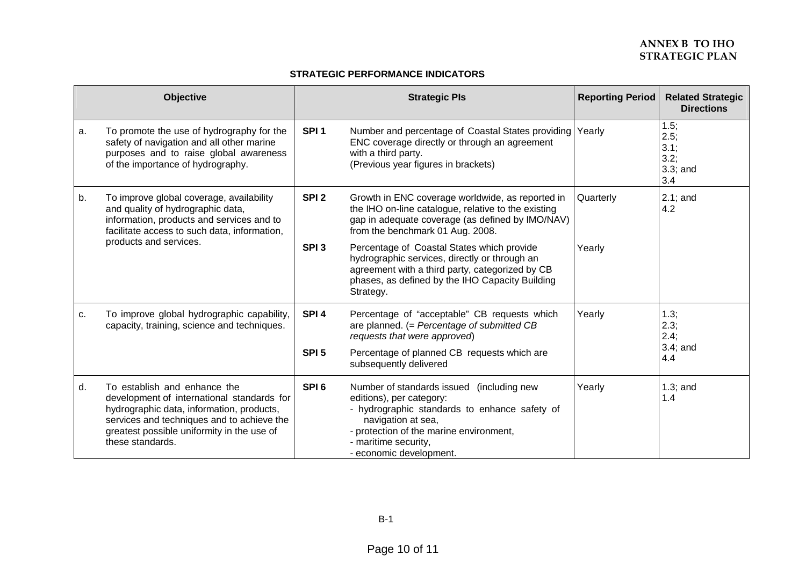# **ANNEX B IHO TO STRATEGIC PLAN**

#### **STRATEGIC PERFORMANCE INDICATORS**

|    | <b>Objective</b>                                                                                                                                                                                                                        |                  | <b>Strategic Pls</b>                                                                                                                                                                                                                       | <b>Reporting Period</b> | <b>Related Strategic</b><br><b>Directions</b>         |
|----|-----------------------------------------------------------------------------------------------------------------------------------------------------------------------------------------------------------------------------------------|------------------|--------------------------------------------------------------------------------------------------------------------------------------------------------------------------------------------------------------------------------------------|-------------------------|-------------------------------------------------------|
| a. | To promote the use of hydrography for the<br>safety of navigation and all other marine<br>purposes and to raise global awareness<br>of the importance of hydrography.                                                                   | SPI <sub>1</sub> | Number and percentage of Coastal States providing<br>ENC coverage directly or through an agreement<br>with a third party.<br>(Previous year figures in brackets)                                                                           | Yearly                  | 1.5;<br>2.5;<br>$3.1$ ;<br>3.2;<br>$3.3$ ; and<br>3.4 |
| b. | To improve global coverage, availability<br>and quality of hydrographic data,<br>information, products and services and to<br>facilitate access to such data, information,<br>products and services.                                    | SPI <sub>2</sub> | Growth in ENC coverage worldwide, as reported in<br>the IHO on-line catalogue, relative to the existing<br>gap in adequate coverage (as defined by IMO/NAV)<br>from the benchmark 01 Aug. 2008.                                            | Quarterly               | $2.1$ ; and<br>4.2                                    |
|    |                                                                                                                                                                                                                                         | SPI <sub>3</sub> | Percentage of Coastal States which provide<br>hydrographic services, directly or through an<br>agreement with a third party, categorized by CB<br>phases, as defined by the IHO Capacity Building<br>Strategy.                             | Yearly                  |                                                       |
| c. | To improve global hydrographic capability,<br>capacity, training, science and techniques.                                                                                                                                               | SPI <sub>4</sub> | Percentage of "acceptable" CB requests which<br>are planned. (= Percentage of submitted CB<br>requests that were approved)                                                                                                                 | Yearly                  | 1.3;<br>2.3;<br>$2.4$ ;<br>$3.4;$ and<br>4.4          |
|    |                                                                                                                                                                                                                                         | SPI <sub>5</sub> | Percentage of planned CB requests which are<br>subsequently delivered                                                                                                                                                                      |                         |                                                       |
| d. | To establish and enhance the<br>development of international standards for<br>hydrographic data, information, products,<br>services and techniques and to achieve the<br>greatest possible uniformity in the use of<br>these standards. | SPI <sub>6</sub> | Number of standards issued (including new<br>editions), per category:<br>- hydrographic standards to enhance safety of<br>navigation at sea,<br>- protection of the marine environment,<br>- maritime security,<br>- economic development. | Yearly                  | $1.3$ ; and<br>1.4                                    |